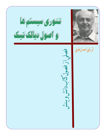



اثر رفيق احسان طبري

فصول كاب دانش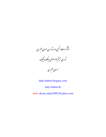دشی ارات انجمن دوسداران احسان طسری<br>متوری سیتم ماو اصول دیالک تیک<br>احسان طسری

http://tabari.blogsky.com

http://tabari.tk

mail: ehsan\_tabari2001@yahoo.com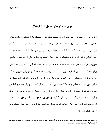## تئوري سيستم ها و اصول ديالك تيك

نگارنده در این بحث های اخیر خود راجع به دیالک تیک، تئوری سیستم ها را همیشه به عنوان مبنای علمی ــ تجربی بیان اصول دیالک تیک در نظر داشته و کوشیده است تا این اصل را به "زبان سیستمی" تغییر و تفسیر کند. اخیرا با کتاب "دیالک تیک، سیستم ها و تکامل" اثر مازوف ها (پدر و پسر) آشنایی یافتم که در شهر مینسک در سال ۱۹۷۸ تحت ویراستاری یکی از فلاسفه ی مشهور شوروی (پروفسور خارین) چاپ شده است <sup>۱</sup> و چه قدر سودمند است که این کتاب روزی به فارسی برگردانده شود. نکته ای که قرائت این کتاب بر من روشن ساخت، انطباق یا نزدیکی بسیاری بود که بین برخورد های مستقلانه ی این جانب و احکام مندرجه ی در این کتاب وجود داشت. تردید نیست که مؤلفین مورد بحث ما مطلب را در ۲۲۱ صفحه ی کتاب با آن چنان گسترش و بیان مستند و کنکرتی همراه کرده اند که بحث های فرار و اجمالی ابدا آن امکان را در این رساله به این جانب نمی داده است. با این استفاده از برخی نکات مندرج در این کتاب و بر خوردی که خود در مسأله ی مورد بحث داشته ام، سودمند شمردم، به دنبال بیان اجمالی تئوری سیستم ها، فصلی نیز درباره ی ربط اصول دیالک تیک و این تئوری بیان دارم.

۱–"دیالک تیک، سیستم ها و تکامل" اثر ویتالی دیمترویچ ماروزوف (پدر) و واسیلی ویتالوویچ ماروزوف (پسر) به ویراستاری دکتر فلسفه پروفسور یو. آ. خارین، ۱۹۷۸ ــ چاپ شهر مینسک به زبان روسی.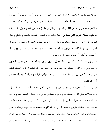مقدمتا باید بگویم که منظور نگارنده از **اصل** و یا **اصول** دیالک تیک، "اصل موضوعه" (آکسیوم) نيست، بلكه تنها پرنسيپ (principe) است. هدف آن است كه از كاربرد واژه ي "قانون" (كه عاميت و قاطعیت بیشتری را به ذهن القا می کند و یا در واقع می طلبد) احتراز می شود و اصول دیالک تیک به عنوان **نتیجه گیری های بنیادین** از معارف انسانی در زمینه ی شناخت طبیعت و اجتماع و تفکر انسانی (که با تحول این سطح معارف نیز تحول می یابد و ابدا خصلت جزمی ندارد) تلقی می گردد. لذا اصل در این جا با "استنتاج بنیادین و عام" هم معنی است و سطح احتمالی و نسبی بودن ا از "آكسيوم" و "قانون" پايين تر است و نه بر عكس.

ما در این فصل آن که شاید آن را بتوان فصل مرکزی در ایین رساله دانست، می کوشیم تا اصول دیالک تیکی را در تئوری سیستم پیاه کنیم و در این زمینه چنان که گفتیم از کتاب "دیالک تیک، سیستم ها و تکامل" نیز تا آن جا که ضرور شمریم فیض خواهیم گرفت، بدون آن که به بیان تفصیلی آن يابند باشيم.

در این دانش امروز مفهوم سیتم های بغرنج و پویا ، عنصر، ساختار، محیط، کارکرد، حالت (ستاتوس) و دیگر مقولات اصلی تئوری سیستم ها و برخورد سیستمی بزرگی برای خویش گشوده است و به یک سلسله گره گاه های معرفت علمی بدل شده است (البته بدون آن که بتوان آن ها را تنها صفات و شاخص های عینیت خارجی دانست). از آن جا که تئوری سیستم ها در پیوند نزدیک با علوم **سمیوتیک** و **سیبرنتیک**، توانسته است تحول عظیمی در محتوی و روش های بسیاری علوم ایجاد کند، طبیعی است که باید دیالک تیک به مثابه ی تئوری و اسلوب روابط خود را با این رشته ها روشن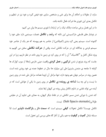سازد، از مقولات و احکام آن ها برای غنی و مشخص سازی خود فیض گیرد و خود نیز در تنظیم و تكامل بعدي اين تئوري ها شركت فعال داشته باشد. ما در این فصل برخی مباحث دیالک تیک را در ارتباط با تئوری سیسم ها بیان می کنیم: در نوشتار های فلسفی مارکسیستی این نکته که **رشد** و **تکامل** خصلت سیستمی دارد جای خود را گشوده است. سیستم یعنی گره بندی (کمپلکس) از عناصر به هم پیوسته که هر یک از عناصر خود سیستم فرعی و جداگانه ای در حرکت تکاملی است. وقتی از **حرکت تکاملی** سخن می گوییم به ویژه شکل کامل و "کلاسیک" آن را که در روی کره ی زمین ما روی داده، در نظر داریم، زیرا در این جاست که روند بغرنج تر شدن **ترکیبی و عمل کردی** واقعیت عینی خارجی (مثلا از سوب کوارک ها گرفته تا جامعه ی متمدن بشری) طی این میلیارد ها سال در خطوط عمده ی خود روشن شده است. همین روند در سراسر جهان هم وجود دارد، تنها مراحل آن لزوما همانند مراحل طی شده در روی زمین ما نیست و ای چه بسا **شاخه ی روینده ی تکامل** در روی زمین ما یکی از عواملی است که در آینده می تواند نقشی در تداوم تکامل پیش رونده ی کیهان ایفا نماید. کند شدن یا دورانی شدن مسیر تکاملی در در نقاط دیگر کیهان، به معنای نفی تداوم آن در مقیاس

طولاني (Sub Spacis eternatis) نيست.

تکامل چیست؟ تکامل تحولات **کیفی** سیستم است که **سمت دار و بازگشت ناپذیر** است لذا مسئله تبادل **کمیت و کیفیت** به هم، یکی از آغاز گاه های بررسی این تحول است.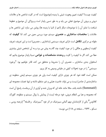كيفيت چيست؟ كيفيت تعيين وهويت شيئي يا پديده (موضوع) است كه در كليت شاخص ها و علامات درونی و برونی آن موضوع تجلی می یابد و به طور نسبی پایدار است و ویژگی آن موضوع و خطوط شباهت یا تمایز آن را با موضوعات دیگر (اعم از اشیا یا پدیده ها) روشن می سازد. این شاخص ها و علامات را **مختصات ساختاری ــ عنصری** سیستم مورد بررسی معین می کند. لذا **کیفیت** که مقوله ی مرکزی **تکامل** است دارای تعریف سیستمی (ساختاری ــ عنصری) است و این تعریف، تعریف کیفیت ارسطویی و هگلی را در مورد کیفیت چند گام به پیش می برد و به آن تشخص شیئی بیشتری عطا می کند. اگر ما کیفیت را کلیت و **وحدت مشخصات و خواص** نسبتا پایدار موضوع بدانیم که استخوان بندی ساختاری ــ عنصری آن را مشروط و متحقق می کند، قادر خواهیم بود "برخورد سیستمی" را در مورد تحولات کیفی در مقیاس وسیعی به کار بریم.

ممکن است گفته شود که هر چیزی دارای کیفیت است ولی هر چیزی سیستم (یعنی منظومه ی ساختارمندی از عناصر) نیست و می تواند خاصیت هبایی و غیر منتظم داشته و تنها خصلت مجموعه ای (Summatif) داشته باشد. مثلا مانند خانه ای که ویران شده و آواری از آن برجاست. پاسخ آن است که مجموعه و هبا بی انتظام درونی، خود مرحله ایست از پیدایش یا زوال سیستم و منظومه. گئورگ کلائوس<sup>۲</sup> یکی از کارشناسان مهم آلمانی سیبرنتیک در اثر خود "سیبرنتیک و فلسفه" (ترجمه روسی ــ مسکو \_ ۱۹۶۳ \_ صفحه ی ۱۱۸) می نویسد:

2-Georg Klaus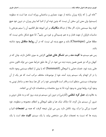"خانه ای را که زلزله ویران ساخته از جهت معماری و ساختمانی ویرانه است، هبا است نه منظومه (سیستم). ولی معنی این سخن آن نیست که چنین توده ای از اشیا کما بیش ویران، در درون خود هیچ گونه ربط سیستمی ندارد. اگر مثلا از دیدگاه **مکانیک** بر این انبوهه نظر افکنیم، آن را سیتم بغرنجی با مناسبات فراوان از جهت فشار و به هم چسبیدگی و غیره می یابیم". لذا هیچ تشکل مادی نیست که مطلقا هبایی (Chaotique) باشد و هیچ پدیده ای نیست که در آن **روابط متقابل** وجود نداشته ىاشد.

پس هم سیستم ها **کلیت مند** و هم **تشکل های هبایی** گرایش به سوی تکامل دارند، چنان که در کیهان بزرگ نیز همین همین پدیده دیده می شود. در آن ها، طبق شرایط معین، می تواند قانون مندی هایی پدید شود. خصلت هبایی یا انبوهگی (Summatif) که یا پیش از انتظام سیستمی وجود داشته یا در اثر انهدام یک سیستم پدید آمده، خود از موضوعات مختلف مرکب است که هر یک از آن موضوعات سیستمی منتظم است و قادر است قانونمندی خود را در کل هبا بسط دهد و ساختار نوینی به وجود آورد، روابط نوینی به وجود آورد، لذا به بروز مختصات و مشخصات تازه ای بی انجامد. به علاوه باید **عمل کرد تنظمی** (گُنارشی) در درون این سیستم نو پدید، بروز کند و به عامل درونی و ضرور أن سیستم بدل گردد. لذا دیالک تیک هبا و نظم، انبوهگی و انتظام، مجموعه و منظومه، خود اهمیت بزرگی برا درک روند تکامل دارد. پس می توان نتیجه گرفت که همه ی **تجمعات** اشیا و پدیده ها که نسبت به تجمعات دیگر مرز مشخص بیابد، یا یک سیستم **کلیت مند** است یا یک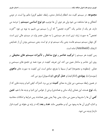مجموعه. در سیستم کلیت مند انتظام (ساختار مندی، رابطه، تنظیم گری) حکم روا است. در دومی آشفتگی و هبا مشاهده می شود ولی هر دوی آن ها دوتیپ، **دو نوع اساسی سیستم** را عرضه می دارند. هر یک از عناصر یک "کثرت تجمعی" که آن را سیستم می نامیم، به نوبه ی خود "کثرت تجمعی" به صورت ژرف تری است. هر سیستمی را به عنوان عنصر وارد در سیستم عالی تری است. کل جهان سیستم سیستم هاست یعنی یک سیستم تو در تو است. یعنی سیستمی بودن آن از خصایص لاینفک (Attributif) ماده است.

پس کیفیت هر سیستم را **ترکیب عناصر و نوع ساختار و تأثیرات سیستم های محیطی** بر روی این عناصر و ساختار معین می کند. این تعریف کیفیت در مورد همه ی تجمع های سیستمی و هبائی (منظومه و مجموعه) اعم از بسیط یا بغرنج، صادق است. این کیفیت به صورت های **ماهوی** (سوبسترات)، **پیوندی** (انتگراتیف) و **عمل کردی** (فونکسیونل) بروز می کند.

در همین رابطه سیستمی، می توان به معنای **کمیت** نیز پی برد. اشتراک کیفی اشیا و پدیده هایی که از یک **نوع** هستند، این همانی (یک سانی و همانندی) برخی از خواص این اشیا و پدیده ها با هم، **تعین کمی** آن ها را مشروط و معین می سازد. یعنی چه؟ یعنی چون همانندند پس شرایط و امکانات محاسبه و اندازه گیری آن ها به وجود می آید و مفاهیمی مانند **عدد** و **بعد** (که در پایه ی مقوله ی کمیت قرار دارند) پدیدہ مے شود.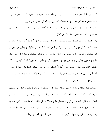كميت بر خلاف كفيت گويي نسبت به طبيعت و ماهيت اشيا لاقيد و بي تفاوت است. (چهار صندلي، چهار انسان، چهار تپه). در پاسخ "چه قدر"، گفته می شود کم تر، بیشتر، فلان میزان. گویی کیفیت مطرح نیست و از میان آن ها به قول انگلس: "عدد ناب ترین تعیین کمی است که ما می شناسيم" (كليات به روسي \_ جلد ٢٠ ص ٥٧٣)

ولی کمیت نیز مانند کیفیت خصلت سیستمی دارد. در سرشت مقوله ی "کمیت" دو نکته ی متقابل مستتر است. "یکی بودن" و "چندین بودن". زیرا هر کفیت "یگانه" ای تفکیک و جدایی می پذیرد و این تفکیک و جدایی در درون همان نوع، همان کیفیت واحد است. این تفکیک نوع واحد در درون خود، تکثر و چندین بودگی را پدید می آورد و از سوی دیگر هر تکثر و "چندین" که از "چندین" دیگر متمایز باشد، بین خود از جهت کیفی "یگانه" است. (اگر چه چهار صندلی است ولی همه در مقابل **انسان** صندلی هستند و نه چیز دیگر ولی همین صندلی که **نوع یگانه** است، بین خود از جهت عدد*ی* چهار تاست و **چندین** است).

سیستم، اشیا **متعدد** و متکثر به هم پیوسته ایست که از سیستم دیگر متمایز باشد. یگانگی این سیستم نمودار کلیت آن است. کلیت آن مرکب از اجزا و عناصر است. پیوند بین عناصر سیستم به مثابه ی اجزای یک کل یگانه را می توان با فرمول ها و معادلات بیان داشت که مشخصات کمی عناصر، ساختار و عمل کرد را نشان می دهد، یعنی همه ی آن چه را که در کیفیت سیستم جای داشته اند. یعنی به هم بستگی این **جهات کیفی** سیستم را می توان با **زبان کمی** بیان داشت.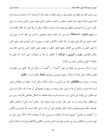پس کم و کیف دو مقوله ی متمایز ولی در هم متنافذ، در هم رخنه گر هستند که در همه ی پدیده ها و اشیا بدون استثنا وجود دارند.کیفیت محض یا کمیت محض دارای وجود عینی خارجی نیست. در عین حال ما بین آن ها همسانی مطلق نیز وجود ندارد. وحدت دیالک تیکی آن ها چنان که هگل گفته است در مفهوم **اندازه** (Masse) پدید می آید. اندازه حدود و ثغوری را نشان می دهد که در درون آن، کمیت تغییر می کند ولی بدون آن که کیفیت دگرگون شود. در بیرون از این حدود و ثغور، تغییر کمی به تغییر کیفی و برعکس می انجامد. هیچ تحول کیفی در جهان بدون تحول کمی رخ نمی دهد و بر عکس (افزایش **جرم و انرژی و حرکت** یا کاهش آن ها آن تحولات کمی است که جایی به تحولات كيفي برعكس منجر مي گردد).

پس از درک سیستمی دو مقوله ی مهم "کمیت" و "کیفیت" و تبادل آن ها، اکنون می توانیم به قانون دیالک تیکی تضاد از دیدگا بر خورد سیستمی بپردازیم. **تضاد** شکلی است از **تقابل**.

وحدت و مبارزه ی متقابلان نکته ی اساسی در تضاد دیالک تیکی است. رابطه ی متقابلان چنان است که مبارزه و تنازع آن ها در عین ربط و وحدت و پیوند و همبودگی آن ها با یک دیگر است ولی دو متقابل، می توانند این تنازع را در سیستم ها و شرایط مختلف به اشکال مختلفی بگذرانند. پس بین دو متقابل ربط، وحدت و در عین حال نزاع و مبارزه وجود دارد. ممکن است یکی از طرفین تقابل خواستار حفظ وضع موجود و طرف دیگر خواستار نفی آن باشد و این نکته ایست که مارکس و انگلس در "خانواده ی مقدس" تصریح کرده اند (کلیات به روسی، جلد ۲ صفحات ۳۸ تا ۳۹). بدین سان دو نوع مبارزه ی متقابلان پدید می شود و نوع دوم دارای جنبه ی تناقضی (آنتاگونیستی) است (مانند تنازع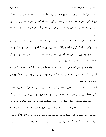مولدان بلاواسطه صنعتی (پرلتاریا) یا بهره کشان سرمایه دار) همه ی منازعات تناقضی نیست. این که نوع تناقضی خاص جامعه است، مطلبی است در خورد بحث که گروهی بدان معتقدند ولی در برخورد سیستمی این انحصار موضوعی درست نیست و هر دو نوع تقابل را باید در کل طبیعت و جامعه جستجو کر د.

مبارزه ی متقابلان تدریجا بسط می یابد و در موارد معن موجب حدت روز افزون تضاد می شود و کار را به أن جا می رساند که کیفیت واحد و **یگانه** و همسان سابق**، دو گانه** و منقسم می شود. و اگر باز هم حدت پذیرد وارد این مرحله می شود که این دو بخش منقسم شده نمی توانند هم زیستی و هم بودگی داشته باشند و و جود بدون نفی دیگری میسر نیست.

سر انجام لحظه ی **حل تضاد** می رسد. یعنی چه حل تضاد؟ یعنی انتقال از کیفیت کهنه به کیفیت نو، از سیستم گذشته به سیستم نو. همین روند مبارزه ی متقابلان در سیستم نو، منتها با اشکال ویژه ی خود جريان مي يابد.

این تقابل و تضاد می تواند **درونی** (نتیجه ی تأثیر اجزای درونی سیستم روی هم) یا **برونی** (نتیجه ی تأثیر محیط روی سیستم معین) باشد. تفاوت این دو نوع تضاد درونی و برونی، نسبی است. آن چه که برای یک پیوند سیستمی درونی است، برای پیوند سیستمی دیگر برونی است. تضاد درونی ما بین عناصر این زیر سیستم ها، و در سطوح مختلف ارتباطی ــ عمل کرد*ی*، بین عناصر و ساختار **همان سیستم مع**ین پدید می شود. تضاد برونی **سیستم مورد نظر ما** با **سیستم های دیگر** در ورای آن است که برایش "محیط" را به وجود می آورند. ولی اگر سیستم را گسترده تر بگیریم، تضاد برونی و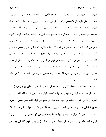درونی هر دو درونی می شوند. این یک مسئله ی دیدگاهی است. مثلا سرمایه داری و سوسیالیسم با هم تضاد برونی دارند ولی تضادشان در تکامل تاریخی جامعه، تضاد درونی جامه ی بشری است. تضاد درونی منبع عمده ی تحول و تکامل است. متقابلان در درون سیستم واحد با هم در نزاعند. مثلا در سیستم اتم، هسته و پوسته ی الکترونی و در سیستم جامعه نیرو های مولده و مناسبات تولیدی نمونه هایی از تضاد درونی عمل در یک سیستم واحد است. تضاد های برونی از راه تشدید تنازع تضاد درونی عمل می کنند یا به طور عمده عمل می کنند. تضاد های دیگری که در این مجرای اساسی نیستند و کار را به پیدایش کیفیت نو نمی کشاند نیز وجود دارند، ولی ماهوی نیستند. با بررسی دقیق تر مکانیسم تضاد و طرز پیاده شدن آن در اجزای سیستم می توان این اصل را از حالت تجریدی ـ فلسفی آن به در آورد و به آن جنبه ی مشخص ــ تجربی بیشتری داد و شاید روزی با کاربرد اسلوب نماد سازی، نمونه سازی، صورت سازی (فرمالیزاسیون)، آکسیوم سازی و ریاضی سازی این مباحث بتواند کاربرد های اسلوبی ــ علمی وسیع تری پیدا کند.

وجود تضاد، مخالف وجود **هماهنگی** نیست. **هماهنگی** خاصیت آن سیستم های پویا (دینامیک) است که در آن وحدت و مبارزه ی متقابلان نه تنها به انشعاب کیفی و سیستمی نکشد، بلکه گاه موجب در آمیزی و سازش کامل دو قطب می شود. یک علت این وضع می تواند ثبات نسبی **منابع** و **اهرم** های تکاملی سیستم های معین باشد که بدون نیاز به انقسام و انشعاب، بتواند پویایی خود را حفظ کند. مثلا پرورش و گسترش حاد و شدید جهات و **ماهیت آفرینش گر انسان** در یک جامعه ی رها از بهره کشی (که در آن تکامل هر فرد شرط تکامل اجتماع است) آن چنان **اهرم تکاملی** ایجاد می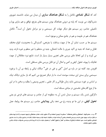کند که **شکل تضادی** تکامل را به **شکل هماهنگ سازی** آن مبدل می نماید. دانشمند شوروی مشریاکوف می نویسد که پایه ی درونی هماهنگ بودن سیستم های بغرنج، توافق و هم سازی پویا و تکمیلی عناصر، زیر سیستم هاو دیگر جهات کل سیستمی و نیز مراحل تحول آن است<sup>۳</sup>. تکامل هماهنگ هم در طبیعت و هم در جامع ممکن و موجود است.

سیستم ها بر حسب تمایز آن ها از جهت بساطت یا بغرنجی، گستردگی یا محدودیت، انواع مختلف تقابل و تضاد که جنبه ی اکید جبری یا حالت احتمالی، جنبه ی منتظم یا غیر منظم و غیره دارند، پدید می آورند و از این لحاظ جای بررسی های تجربی بسیار بسیار باز است. نتایج نبرد متقابلان از جهت تفکیک یا پیوند، تحول کیفی و کمی و امثال آن نیز قابل بررسی های مستقلی است.

افزودن چند کلمه نیز در باره ی اصل "نفی و نفی در نفی" دیالک تیکی و رابطه ی آن با برخورد سیستمی برای بستن این مبحث سودمند است. ما بار دیگر تصزیح می کنیم که باز سازی دیالک تیک بر اساس بر خورد سیستمی شاید زمان طولانی و کار علمی ـ تجربی وسیعی را بطلبد و سخن ما در این جا از نوع گام های نخستین در مبادی مسئله است.

دگرگون شدن یک سیستم و مبدل شدن آن به منظومه ای از عناصر و سیستم های فرعی نو یعنی **تحول کیفی**. در این جا دو پدیده رخ می دهد: یکی **پیدایش** عناصر، زیر سیستم ها، روابط، عمل

۳− و. ت . مشریاکوف "هماهنگی و تکامل هماهنگ" مسکو به (روسی) صفحه ی ۶۹. سکون، ثبات، تعادل، هماهنگی با وجود نسبیت و گــذرا بودنــشان در قبال حرکت، وجود عینی دارند و بررسی فلسفه و علمی آن ها نه تنها در مکانیک (سینه تیک و سینه ماتیک) بلکـه در علـوم دیگـر تـا حــد علــوم اجتماعی مکشور است. سوء استفاده ارتجاع از مسئله ی "نظم" و تقبیح "انقلاب" و عصیان، نباید ما را به کم بها دادن بررسـی مقــولات دیالــک تیکــی متقابل با تحول بكشاند.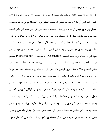کرد های نو که سابقه نداشته و **نفی** یک سلسله از عناصر، زیر سیستم ها، روابط و عمل کرد های کهنه، رانده شدن آن ها از عرصه ی هستی. اما دومی **استقراض و استخدام ترکیبات سیستم سابق** ولی **تابع کردن** آن ها به قانون مندی سیستم نو پدید. یعنی نفی، نفی عبث، نفی کامل نیست. بلکه نفی، نفی تکاملی است که هم سیستم وارد عمل کرد و سازمان بالا تری می سازد و اجزا قابل زیست و بقا سیستم کهنه را حفظ می کند. این وحدت **نفی** و **توارث** در یک مسیر اعتلایی است. حالت نوین به نوبه ی خود همین سر نوشت نفی را طی می کند و نفی کننده، به نوبه ی خود نفی می شود. نفي ديالک تيکي، وحدت تخريب (Destruction) و ساختمان (Construction) سيستم در جهت اعلایی و یا حفظ پیوند اتصال و انفصال، توارثی و تداومی (Continuite) است. تخریب نیز مطلق نیست و اعتلا به معنای بروز بغرنجی های عمل کردی ـ سازمانی در سیستم است . در این جا نیز باید وجود **تنوع تیپ نفی در نفی** را که تنها بررسی های تجربی می تواند آن ها را به ما نشان دهد، تصریح کرد. علت اعتلایی بودن تکامل درست همین است که در نفی حالت کهن، بسیار ی عناصر . عمل کرد ها و ارتباط های "به درد بخور" حفظ می شود و این **تراکم تدریجی اجزای قابل بقا** در وجود، **سازمندی** و **هماهنگی** را افزون تر می کند و عمل کرد را به سطوح بالا تر و بغرنج تر، همه جانبه تر و کارا تری ارتقا می بخشد. این جریان را ما در طبیعت جهان خود به چشم می بینیم. پله های این بغرنجی در ساخت و عمل کرد تفریبا چنین است: ۱) **اجزای بنیادین** و میدان هایی که بر پایه ی آن به وجود می آید ۲) **هسته ی اتم** و حالت پلاسمایی که بدان مربوط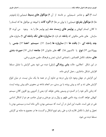است ۳) **اتم** و عناصر شـیمیایی بر خاسته از آن ۴) **مولکول های بسیط** شیمیایی (یا پامونومر ها) ۵) **مولکول بغرنج** شیمیایی ( یا پولی مر ها) ۶) **اگره گات** یا انبوهه ی مولکول ها که اجسام را تا کلان اجسام کیهانی و **پولیمر های زیست مند** (بیو پولیمر ها) را به می اورند ۷) وجود سازمان های خاص ملکوتی که **یاخته** نام دارد ۸) **سازواره های تک یاخته ای** ۹) سازواره های چند یاخته ای ۱۰) بافت ها ۱۱) سازواره ها (اعضا) ۱۲) سیستم اعضا ۱۳) جنس یا پوپولاسین ۱۴) **نوع** یا تاکسیون ۱۵) گله های جانوران ۱۶) **جامع**ه انسانی ۱۷) **صورت بندی** ه**ای** مختلف تکامل اقتصادی \_ اجتماعی انسان، تمدن و فرهنگ علمی، هنری و فنی.

در این شکل اعتلایی، حالت **پش روندگی** (ترقی) دیده می شود یعنی گرایش یا تمایل مسلط افزایش تشکل ساختاری ـ عمل کردی ماده.

این گرایش در جهان وجود دارد ولی درجه ی تداوم آن در همه جا یک سان نیست. در میان انواع گرایش های تند و کند و پیش رونده یا بن بستی، سر انجام شاخه ی محوری دائم پیش رونده ایست که زمانی تأثیر خود را در گستره ی وسیعی پخش خواهد کرد یعنی از آنتروپی روز افزون کلان سیستم کیهانی خواهد کاست. روند دائمی ظهور و زوال و نیز چرخش و دوران عناصر، هر دو از اشکال اساسی نفی در نفی است. عامیت این اصل در آن است که سیستمی بودن، ذاتی ماده است و سیستمی بودن با تحول و ناچار با تکامل تلازم دارد و علی رغم تنوع اشکال و گسست ها در مجموع به مثابه ی گرایش مسلط دیدہ می شود.